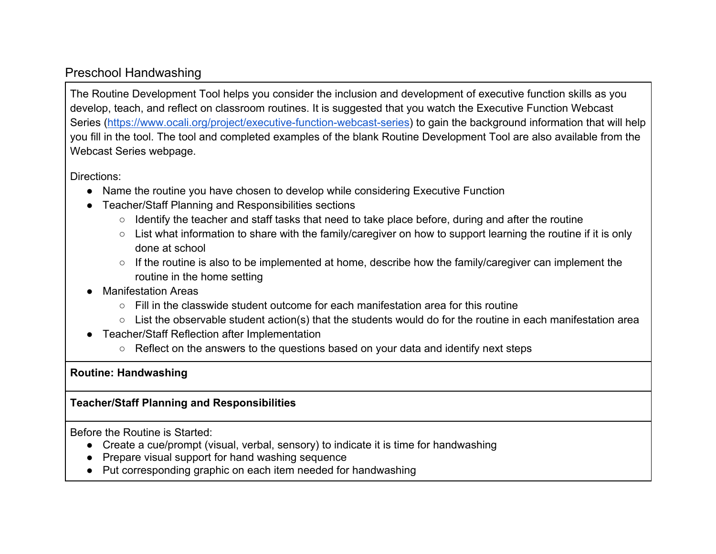## Preschool Handwashing

The Routine Development Tool helps you consider the inclusion and development of executive function skills as you develop, teach, and reflect on classroom routines. It is suggested that you watch the Executive Function Webcast Series [\(https://www.ocali.org/project/executive-function-webcast-series\)](https://www.ocali.org/project/executive-function-webcast-series) to gain the background information that will help you fill in the tool. The tool and completed examples of the blank Routine Development Tool are also available from the Webcast Series webpage.

Directions:

- Name the routine you have chosen to develop while considering Executive Function
- Teacher/Staff Planning and Responsibilities sections
	- Identify the teacher and staff tasks that need to take place before, during and after the routine
	- List what information to share with the family/caregiver on how to support learning the routine if it is only done at school
	- If the routine is also to be implemented at home, describe how the family/caregiver can implement the routine in the home setting
- **Manifestation Areas** 
	- $\circ$  Fill in the classwide student outcome for each manifestation area for this routine
	- List the observable student action(s) that the students would do for the routine in each manifestation area
- Teacher/Staff Reflection after Implementation
	- Reflect on the answers to the questions based on your data and identify next steps

## **Routine: Handwashing**

## **Teacher/Staff Planning and Responsibilities**

Before the Routine is Started:

- Create a cue/prompt (visual, verbal, sensory) to indicate it is time for handwashing
- Prepare visual support for hand washing sequence
- Put corresponding graphic on each item needed for handwashing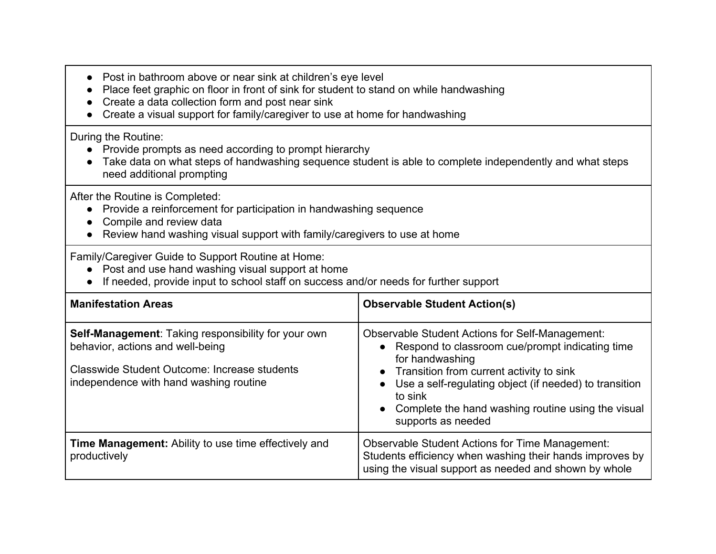- Post in bathroom above or near sink at children's eye level
- Place feet graphic on floor in front of sink for student to stand on while handwashing
- Create a data collection form and post near sink
- Create a visual support for family/caregiver to use at home for handwashing

## During the Routine:

- Provide prompts as need according to prompt hierarchy
- Take data on what steps of handwashing sequence student is able to complete independently and what steps need additional prompting

After the Routine is Completed:

- Provide a reinforcement for participation in handwashing sequence
- Compile and review data
- Review hand washing visual support with family/caregivers to use at home

Family/Caregiver Guide to Support Routine at Home:

- Post and use hand washing visual support at home
- If needed, provide input to school staff on success and/or needs for further support

| <b>Manifestation Areas</b>                                                                                                                                                                      | <b>Observable Student Action(s)</b>                                                                                                                                                                                                                                                                                                          |
|-------------------------------------------------------------------------------------------------------------------------------------------------------------------------------------------------|----------------------------------------------------------------------------------------------------------------------------------------------------------------------------------------------------------------------------------------------------------------------------------------------------------------------------------------------|
| <b>Self-Management: Taking responsibility for your own</b><br>behavior, actions and well-being<br><b>Classwide Student Outcome: Increase students</b><br>independence with hand washing routine | <b>Observable Student Actions for Self-Management:</b><br>• Respond to classroom cue/prompt indicating time<br>for handwashing<br>• Transition from current activity to sink<br>Use a self-regulating object (if needed) to transition<br>$\bullet$<br>to sink<br>• Complete the hand washing routine using the visual<br>supports as needed |
| <b>Time Management:</b> Ability to use time effectively and<br>productively                                                                                                                     | <b>Observable Student Actions for Time Management:</b><br>Students efficiency when washing their hands improves by<br>using the visual support as needed and shown by whole                                                                                                                                                                  |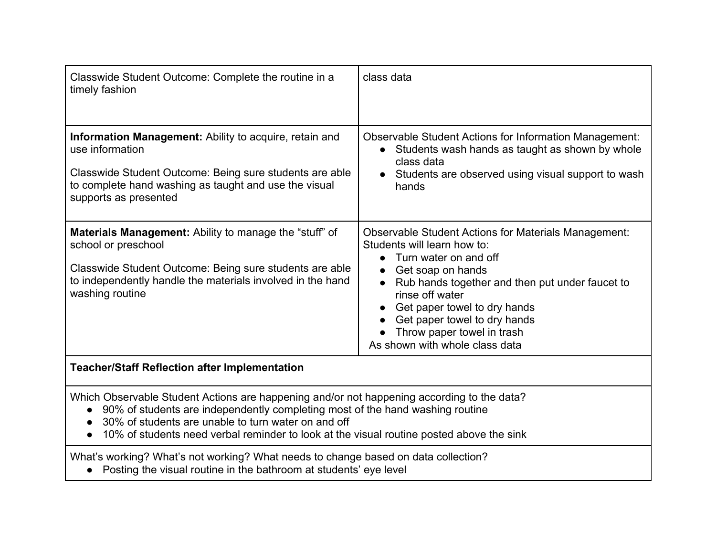| Classwide Student Outcome: Complete the routine in a<br>timely fashion                                                                                                                                                                                                                                                                      | class data                                                                                                                                                                                                                                                                                                                                                  |  |
|---------------------------------------------------------------------------------------------------------------------------------------------------------------------------------------------------------------------------------------------------------------------------------------------------------------------------------------------|-------------------------------------------------------------------------------------------------------------------------------------------------------------------------------------------------------------------------------------------------------------------------------------------------------------------------------------------------------------|--|
| Information Management: Ability to acquire, retain and<br>use information<br>Classwide Student Outcome: Being sure students are able<br>to complete hand washing as taught and use the visual<br>supports as presented                                                                                                                      | <b>Observable Student Actions for Information Management:</b><br>• Students wash hands as taught as shown by whole<br>class data<br>Students are observed using visual support to wash<br>hands                                                                                                                                                             |  |
| Materials Management: Ability to manage the "stuff" of<br>school or preschool<br>Classwide Student Outcome: Being sure students are able<br>to independently handle the materials involved in the hand<br>washing routine                                                                                                                   | <b>Observable Student Actions for Materials Management:</b><br>Students will learn how to:<br>Turn water on and off<br>$\bullet$<br>Get soap on hands<br>Rub hands together and then put under faucet to<br>rinse off water<br>Get paper towel to dry hands<br>Get paper towel to dry hands<br>Throw paper towel in trash<br>As shown with whole class data |  |
| <b>Teacher/Staff Reflection after Implementation</b>                                                                                                                                                                                                                                                                                        |                                                                                                                                                                                                                                                                                                                                                             |  |
| Which Observable Student Actions are happening and/or not happening according to the data?<br>90% of students are independently completing most of the hand washing routine<br>$\bullet$<br>30% of students are unable to turn water on and off<br>10% of students need verbal reminder to look at the visual routine posted above the sink |                                                                                                                                                                                                                                                                                                                                                             |  |
| What's working? What's not working? What needs to change based on data collection?<br>• Posting the visual routine in the bathroom at students' eye level                                                                                                                                                                                   |                                                                                                                                                                                                                                                                                                                                                             |  |